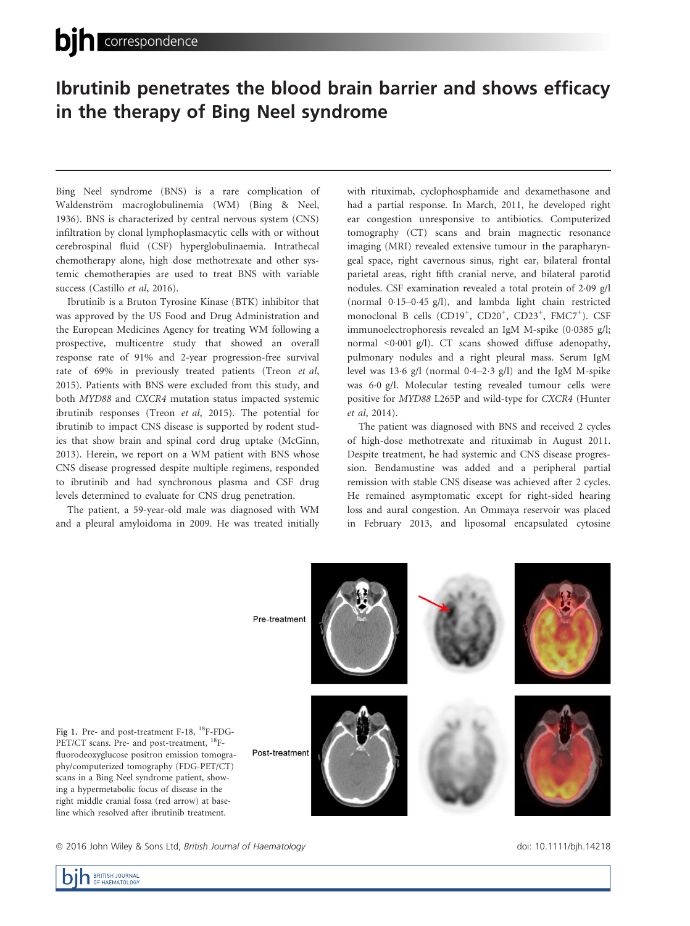# Ibrutinib penetrates the blood brain barrier and shows efficacy in the therapy of Bing Neel syndrome

Bing Neel syndrome (BNS) is a rare complication of Waldenström macroglobulinemia (WM) (Bing & Neel, 1936). BNS is characterized by central nervous system (CNS) infiltration by clonal lymphoplasmacytic cells with or without cerebrospinal fluid (CSF) hyperglobulinaemia. Intrathecal chemotherapy alone, high dose methotrexate and other systemic chemotherapies are used to treat BNS with variable success (Castillo et al, 2016).

Ibrutinib is a Bruton Tyrosine Kinase (BTK) inhibitor that was approved by the US Food and Drug Administration and the European Medicines Agency for treating WM following a prospective, multicentre study that showed an overall response rate of 91% and 2-year progression-free survival rate of 69% in previously treated patients (Treon et al, 2015). Patients with BNS were excluded from this study, and both MYD88 and CXCR4 mutation status impacted systemic ibrutinib responses (Treon et al, 2015). The potential for ibrutinib to impact CNS disease is supported by rodent studies that show brain and spinal cord drug uptake (McGinn, 2013). Herein, we report on a WM patient with BNS whose CNS disease progressed despite multiple regimens, responded to ibrutinib and had synchronous plasma and CSF drug levels determined to evaluate for CNS drug penetration.

The patient, a 59-year-old male was diagnosed with WM and a pleural amyloidoma in 2009. He was treated initially with rituximab, cyclophosphamide and dexamethasone and had a partial response. In March, 2011, he developed right ear congestion unresponsive to antibiotics. Computerized tomography (CT) scans and brain magnectic resonance imaging (MRI) revealed extensive tumour in the parapharyngeal space, right cavernous sinus, right ear, bilateral frontal parietal areas, right fifth cranial nerve, and bilateral parotid nodules. CSF examination revealed a total protein of 209 g/l (normal 015–045 g/l), and lambda light chain restricted monoclonal B cells (CD19<sup>+</sup>, CD20<sup>+</sup>, CD23<sup>+</sup>, FMC7<sup>+</sup>). CSF immunoelectrophoresis revealed an IgM M-spike (0.0385 g/l; normal  $\leq 0.001$  g/l). CT scans showed diffuse adenopathy, pulmonary nodules and a right pleural mass. Serum IgM level was  $13.6$  g/l (normal  $0.4-2.3$  g/l) and the IgM M-spike was 60 g/l. Molecular testing revealed tumour cells were positive for MYD88 L265P and wild-type for CXCR4 (Hunter et al, 2014).

The patient was diagnosed with BNS and received 2 cycles of high-dose methotrexate and rituximab in August 2011. Despite treatment, he had systemic and CNS disease progression. Bendamustine was added and a peripheral partial remission with stable CNS disease was achieved after 2 cycles. He remained asymptomatic except for right-sided hearing loss and aural congestion. An Ommaya reservoir was placed in February 2013, and liposomal encapsulated cytosine



fluorodeoxyglucose positron emission tomography/computerized tomography (FDG-PET/CT) scans in a Bing Neel syndrome patient, showing a hypermetabolic focus of disease in the right middle cranial fossa (red arrow) at baseline which resolved after ibrutinib treatment.

<sup>ª</sup> 2016 John Wiley & Sons Ltd, British Journal of Haematology doi: 10.1111/bjh.14218

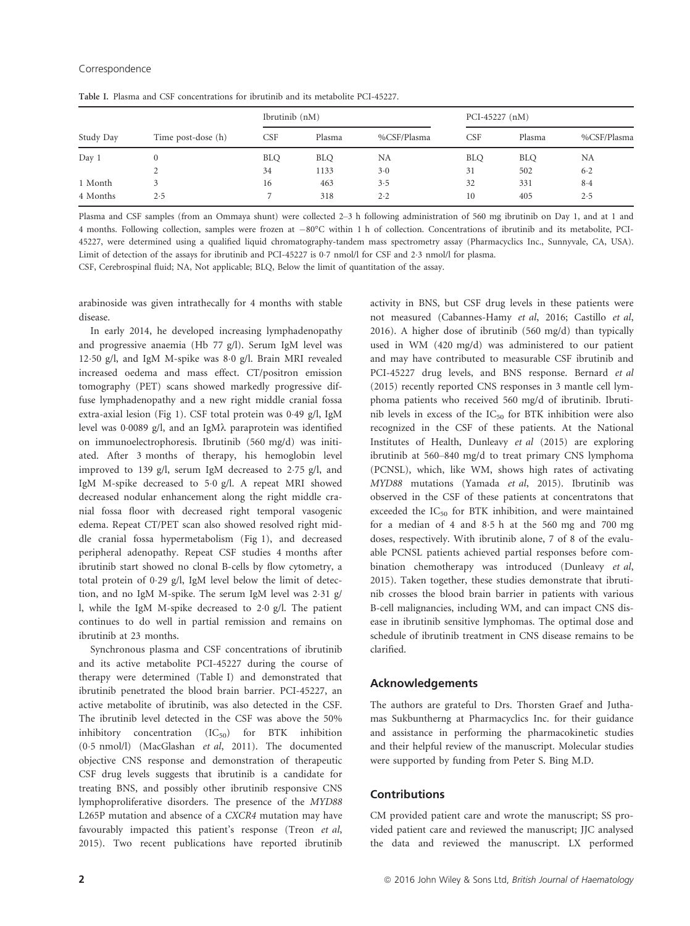| Study Day | Time post-dose (h) | Ibrutinib (nM) |            |             | PCI-45227 $(nM)$ |            |             |
|-----------|--------------------|----------------|------------|-------------|------------------|------------|-------------|
|           |                    | <b>CSF</b>     | Plasma     | %CSF/Plasma | CSF              | Plasma     | %CSF/Plasma |
| Day 1     | $\bf{0}$           | <b>BLO</b>     | <b>BLQ</b> | NA          | <b>BLO</b>       | <b>BLQ</b> | NA          |
|           | ∠                  | 34             | 1133       | $3-0$       | 31               | 502        | $6-2$       |
| 1 Month   |                    | 16             | 463        | 3.5         | 32               | 331        | $8-4$       |
| 4 Months  | 2.5                |                | 318        | 2.2         | 10               | 405        | 2.5         |

Table I. Plasma and CSF concentrations for ibrutinib and its metabolite PCI-45227.

Plasma and CSF samples (from an Ommaya shunt) were collected 2–3 h following administration of 560 mg ibrutinib on Day 1, and at 1 and 4 months. Following collection, samples were frozen at -80°C within 1 h of collection. Concentrations of ibrutinib and its metabolite, PCI-45227, were determined using a qualified liquid chromatography-tandem mass spectrometry assay (Pharmacyclics Inc., Sunnyvale, CA, USA). Limit of detection of the assays for ibrutinib and PCI-45227 is 07 nmol/l for CSF and 23 nmol/l for plasma.

CSF, Cerebrospinal fluid; NA, Not applicable; BLQ, Below the limit of quantitation of the assay.

arabinoside was given intrathecally for 4 months with stable disease.

In early 2014, he developed increasing lymphadenopathy and progressive anaemia (Hb 77 g/l). Serum IgM level was 1250 g/l, and IgM M-spike was 80 g/l. Brain MRI revealed increased oedema and mass effect. CT/positron emission tomography (PET) scans showed markedly progressive diffuse lymphadenopathy and a new right middle cranial fossa extra-axial lesion (Fig 1). CSF total protein was 049 g/l, IgM level was 0.0089 g/l, and an IgM $\lambda$  paraprotein was identified on immunoelectrophoresis. Ibrutinib (560 mg/d) was initiated. After 3 months of therapy, his hemoglobin level improved to 139 g/l, serum IgM decreased to 275 g/l, and IgM M-spike decreased to 50 g/l. A repeat MRI showed decreased nodular enhancement along the right middle cranial fossa floor with decreased right temporal vasogenic edema. Repeat CT/PET scan also showed resolved right middle cranial fossa hypermetabolism (Fig 1), and decreased peripheral adenopathy. Repeat CSF studies 4 months after ibrutinib start showed no clonal B-cells by flow cytometry, a total protein of 029 g/l, IgM level below the limit of detection, and no IgM M-spike. The serum IgM level was 231 g/ l, while the IgM M-spike decreased to 20 g/l. The patient continues to do well in partial remission and remains on ibrutinib at 23 months.

Synchronous plasma and CSF concentrations of ibrutinib and its active metabolite PCI-45227 during the course of therapy were determined (Table I) and demonstrated that ibrutinib penetrated the blood brain barrier. PCI-45227, an active metabolite of ibrutinib, was also detected in the CSF. The ibrutinib level detected in the CSF was above the 50% inhibitory concentration  $(IC_{50})$  for BTK inhibition (05 nmol/l) (MacGlashan et al, 2011). The documented objective CNS response and demonstration of therapeutic CSF drug levels suggests that ibrutinib is a candidate for treating BNS, and possibly other ibrutinib responsive CNS lymphoproliferative disorders. The presence of the MYD88 L265P mutation and absence of a CXCR4 mutation may have favourably impacted this patient's response (Treon et al, 2015). Two recent publications have reported ibrutinib

activity in BNS, but CSF drug levels in these patients were not measured (Cabannes-Hamy et al, 2016; Castillo et al, 2016). A higher dose of ibrutinib (560 mg/d) than typically used in WM (420 mg/d) was administered to our patient and may have contributed to measurable CSF ibrutinib and PCI-45227 drug levels, and BNS response. Bernard et al (2015) recently reported CNS responses in 3 mantle cell lymphoma patients who received 560 mg/d of ibrutinib. Ibrutinib levels in excess of the  $IC_{50}$  for BTK inhibition were also recognized in the CSF of these patients. At the National Institutes of Health, Dunleavy et al (2015) are exploring ibrutinib at 560–840 mg/d to treat primary CNS lymphoma (PCNSL), which, like WM, shows high rates of activating MYD88 mutations (Yamada et al, 2015). Ibrutinib was observed in the CSF of these patients at concentratons that exceeded the IC<sub>50</sub> for BTK inhibition, and were maintained for a median of 4 and 85 h at the 560 mg and 700 mg doses, respectively. With ibrutinib alone, 7 of 8 of the evaluable PCNSL patients achieved partial responses before combination chemotherapy was introduced (Dunleavy et al, 2015). Taken together, these studies demonstrate that ibrutinib crosses the blood brain barrier in patients with various B-cell malignancies, including WM, and can impact CNS disease in ibrutinib sensitive lymphomas. The optimal dose and schedule of ibrutinib treatment in CNS disease remains to be clarified.

#### Acknowledgements

The authors are grateful to Drs. Thorsten Graef and Juthamas Sukbuntherng at Pharmacyclics Inc. for their guidance and assistance in performing the pharmacokinetic studies and their helpful review of the manuscript. Molecular studies were supported by funding from Peter S. Bing M.D.

## Contributions

CM provided patient care and wrote the manuscript; SS provided patient care and reviewed the manuscript; JJC analysed the data and reviewed the manuscript. LX performed